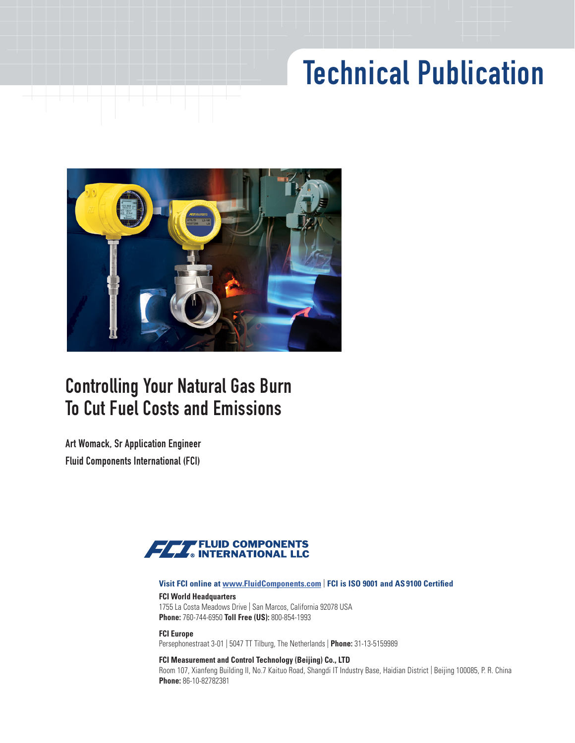# Technical Publication



## Controlling Your Natural Gas Burn To Cut Fuel Costs and Emissions

Art Womack, Sr Application Engineer Fluid Components International (FCI)



#### **Visit FCI online at [www.FluidComponents.com](https://www.FluidComponents.com)** | **FCI is ISO 9001 and AS 9100 Certified**

### **FCI World Headquarters**

1755 La Costa Meadows Drive | San Marcos, California 92078 USA **Phone:** 760-744-6950 **Toll Free (US):** 800-854-1993

**FCI Europe** Persephonestraat 3-01 | 5047 TT Tilburg, The Netherlands | **Phone:** 31-13-5159989

#### **FCI Measurement and Control Technology (Beijing) Co., LTD**

Room 107, Xianfeng Building II, No.7 Kaituo Road, Shangdi IT Industry Base, Haidian District | Beijing 100085, P. R. China **Phone:** 86-10-82782381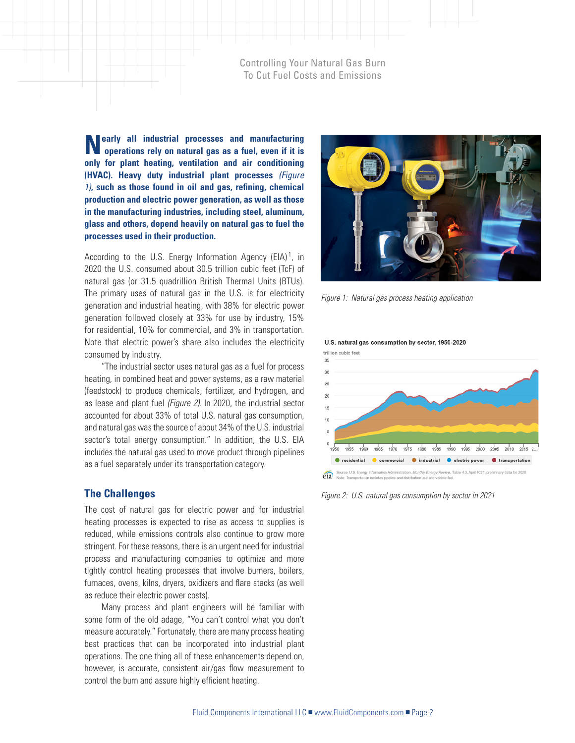**Nearly all industrial processes and manufacturing operations rely on natural gas as a fuel, even if it is only for plant heating, ventilation and air conditioning (HVAC). Heavy duty industrial plant processes** *(Figure 1)***, such as those found in oil and gas, refining, chemical production and electric power generation, as well as those in the manufacturing industries, including steel, aluminum, glass and others, depend heavily on natural gas to fuel the processes used in their production.** 

According to the U.S. Energy Information Agency (EIA)<sup>1</sup>, in 2020 the U.S. consumed about 30.5 trillion cubic feet (TcF) of natural gas (or 31.5 quadrillion British Thermal Units (BTUs). The primary uses of natural gas in the U.S. is for electricity generation and industrial heating, with 38% for electric power generation followed closely at 33% for use by industry, 15% for residential, 10% for commercial, and 3% in transportation. Note that electric power's share also includes the electricity consumed by industry.

"The industrial sector uses natural gas as a fuel for process heating, in combined heat and power systems, as a raw material (feedstock) to produce chemicals, fertilizer, and hydrogen, and as lease and plant fuel *(Figure 2)*. In 2020, the industrial sector accounted for about 33% of total U.S. natural gas consumption, and natural gas was the source of about 34% of the U.S. industrial sector's total energy consumption." In addition, the U.S. EIA includes the natural gas used to move product through pipelines as a fuel separately under its transportation category.

#### **The Challenges**

The cost of natural gas for electric power and for industrial heating processes is expected to rise as access to supplies is reduced, while emissions controls also continue to grow more stringent. For these reasons, there is an urgent need for industrial process and manufacturing companies to optimize and more tightly control heating processes that involve burners, boilers, furnaces, ovens, kilns, dryers, oxidizers and flare stacks (as well as reduce their electric power costs).

Many process and plant engineers will be familiar with some form of the old adage, "You can't control what you don't measure accurately." Fortunately, there are many process heating best practices that can be incorporated into industrial plant operations. The one thing all of these enhancements depend on, however, is accurate, consistent air/gas flow measurement to control the burn and assure highly efficient heating.



*Figure 1: Natural gas process heating application*

U.S. natural gas consumption by sector, 1950-2020



*Figure 2: U.S. natural gas consumption by sector in 2021*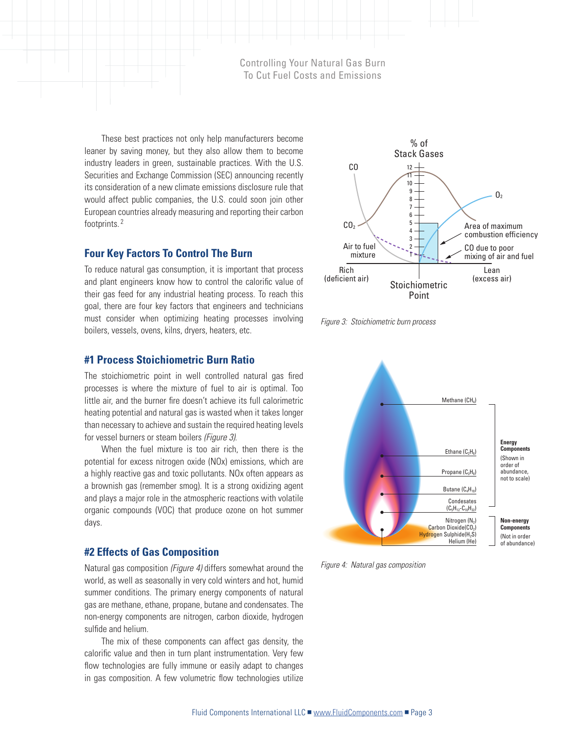These best practices not only help manufacturers become leaner by saving money, but they also allow them to become industry leaders in green, sustainable practices. With the U.S. Securities and Exchange Commission (SEC) announcing recently its consideration of a new climate emissions disclosure rule that would affect public companies, the U.S. could soon join other European countries already measuring and reporting their carbon footprints. <sup>2</sup>

#### **Four Key Factors To Control The Burn**

To reduce natural gas consumption, it is important that process and plant engineers know how to control the calorific value of their gas feed for any industrial heating process. To reach this goal, there are four key factors that engineers and technicians must consider when optimizing heating processes involving boilers, vessels, ovens, kilns, dryers, heaters, etc.





#### **#1 Process Stoichiometric Burn Ratio**

The stoichiometric point in well controlled natural gas fired processes is where the mixture of fuel to air is optimal. Too little air, and the burner fire doesn't achieve its full calorimetric heating potential and natural gas is wasted when it takes longer than necessary to achieve and sustain the required heating levels for vessel burners or steam boilers *(Figure 3)*.

When the fuel mixture is too air rich, then there is the potential for excess nitrogen oxide (NOx) emissions, which are a highly reactive gas and toxic pollutants. NOx often appears as a brownish gas (remember smog). It is a strong oxidizing agent and plays a major role in the atmospheric reactions with volatile organic compounds (VOC) that produce ozone on hot summer days.

#### **#2 Effects of Gas Composition**

Natural gas composition *(Figure 4)* differs somewhat around the world, as well as seasonally in very cold winters and hot, humid summer conditions. The primary energy components of natural gas are methane, ethane, propane, butane and condensates. The non-energy components are nitrogen, carbon dioxide, hydrogen sulfide and helium.

The mix of these components can affect gas density, the calorific value and then in turn plant instrumentation. Very few flow technologies are fully immune or easily adapt to changes in gas composition. A few volumetric flow technologies utilize



*Figure 4: Natural gas composition*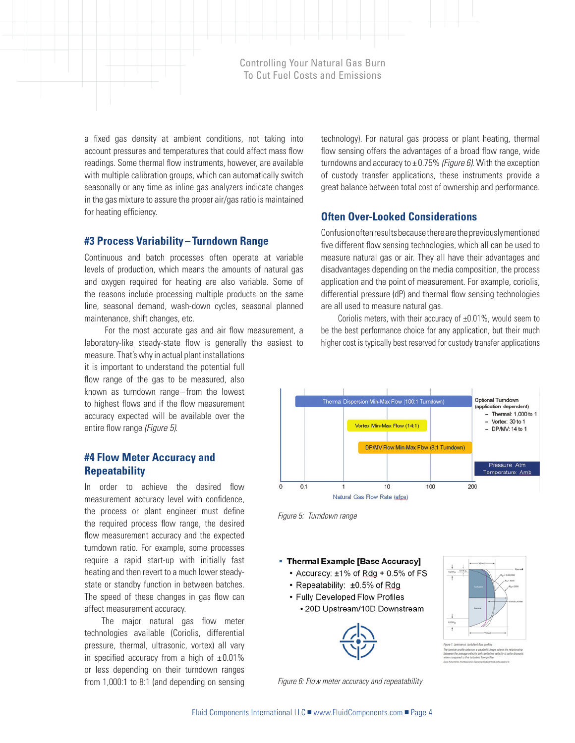a fixed gas density at ambient conditions, not taking into account pressures and temperatures that could affect mass flow readings. Some thermal flow instruments, however, are available with multiple calibration groups, which can automatically switch seasonally or any time as inline gas analyzers indicate changes in the gas mixture to assure the proper air/gas ratio is maintained for heating efficiency.

#### **#3 Process Variability – Turndown Range**

Continuous and batch processes often operate at variable levels of production, which means the amounts of natural gas and oxygen required for heating are also variable. Some of the reasons include processing multiple products on the same line, seasonal demand, wash-down cycles, seasonal planned maintenance, shift changes, etc.

 For the most accurate gas and air flow measurement, a laboratory-like steady-state flow is generally the easiest to

measure. That's why in actual plant installations it is important to understand the potential full flow range of the gas to be measured, also known as turndown range–from the lowest to highest flows and if the flow measurement accuracy expected will be available over the entire flow range *(Figure 5)*.

#### **#4 Flow Meter Accuracy and Repeatability**

In order to achieve the desired flow measurement accuracy level with confidence, the process or plant engineer must define the required process flow range, the desired flow measurement accuracy and the expected turndown ratio. For example, some processes require a rapid start-up with initially fast heating and then revert to a much lower steadystate or standby function in between batches. The speed of these changes in gas flow can affect measurement accuracy.

The major natural gas flow meter technologies available (Coriolis, differential pressure, thermal, ultrasonic, vortex) all vary in specified accuracy from a high of  $\pm 0.01\%$ or less depending on their turndown ranges from 1,000:1 to 8:1 (and depending on sensing technology). For natural gas process or plant heating, thermal flow sensing offers the advantages of a broad flow range, wide turndowns and accuracy to ± 0.75% *(Figure 6)*. With the exception of custody transfer applications, these instruments provide a great balance between total cost of ownership and performance.

#### **Often Over-Looked Considerations**

Confusion often results because there are the previously mentioned five different flow sensing technologies, which all can be used to measure natural gas or air. They all have their advantages and disadvantages depending on the media composition, the process application and the point of measurement. For example, coriolis, differential pressure (dP) and thermal flow sensing technologies are all used to measure natural gas.

Coriolis meters, with their accuracy of  $\pm 0.01$ %, would seem to be the best performance choice for any application, but their much higher cost is typically best reserved for custody transfer applications



*Figure 5: Turndown range*

#### • Thermal Example [Base Accuracy]

- + Accuracy: ±1% of Rdg + 0.5% of FS
- Repeatability: ±0.5% of Rdg
- Fully Developed Flow Profiles
	- 20D Upstream/10D Downstream



*Figure 6: Flow meter accuracy and repeatability*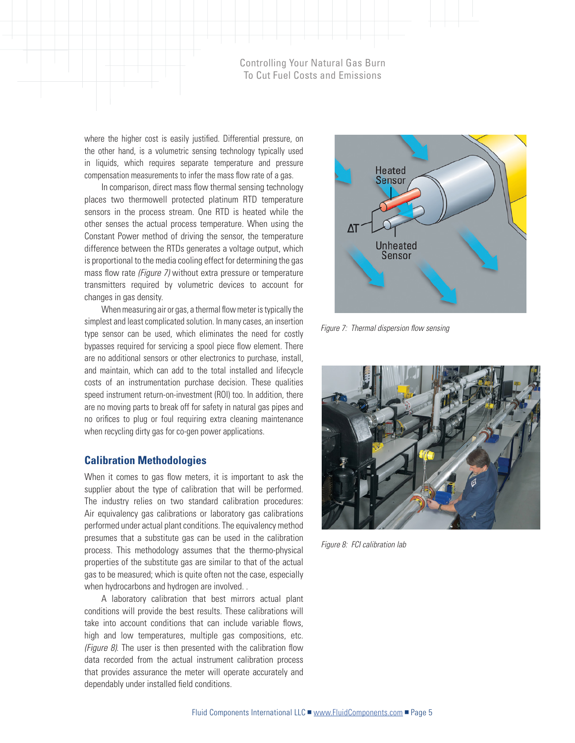where the higher cost is easily justified. Differential pressure, on the other hand, is a volumetric sensing technology typically used in liquids, which requires separate temperature and pressure compensation measurements to infer the mass flow rate of a gas.

In comparison, direct mass flow thermal sensing technology places two thermowell protected platinum RTD temperature sensors in the process stream. One RTD is heated while the other senses the actual process temperature. When using the Constant Power method of driving the sensor, the temperature difference between the RTDs generates a voltage output, which is proportional to the media cooling effect for determining the gas mass flow rate *(Figure 7)* without extra pressure or temperature transmitters required by volumetric devices to account for changes in gas density.

When measuring air or gas, a thermal flow meter is typically the simplest and least complicated solution. In many cases, an insertion type sensor can be used, which eliminates the need for costly bypasses required for servicing a spool piece flow element. There are no additional sensors or other electronics to purchase, install, and maintain, which can add to the total installed and lifecycle costs of an instrumentation purchase decision. These qualities speed instrument return-on-investment (ROI) too. In addition, there are no moving parts to break off for safety in natural gas pipes and no orifices to plug or foul requiring extra cleaning maintenance when recycling dirty gas for co-gen power applications.

#### **Calibration Methodologies**

When it comes to gas flow meters, it is important to ask the supplier about the type of calibration that will be performed. The industry relies on two standard calibration procedures: Air equivalency gas calibrations or laboratory gas calibrations performed under actual plant conditions. The equivalency method presumes that a substitute gas can be used in the calibration process. This methodology assumes that the thermo-physical properties of the substitute gas are similar to that of the actual gas to be measured; which is quite often not the case, especially when hydrocarbons and hydrogen are involved. .

A laboratory calibration that best mirrors actual plant conditions will provide the best results. These calibrations will take into account conditions that can include variable flows, high and low temperatures, multiple gas compositions, etc. *(Figure 8)*. The user is then presented with the calibration flow data recorded from the actual instrument calibration process that provides assurance the meter will operate accurately and dependably under installed field conditions.



*Figure 7: Thermal dispersion flow sensing*



*Figure 8: FCI calibration lab*